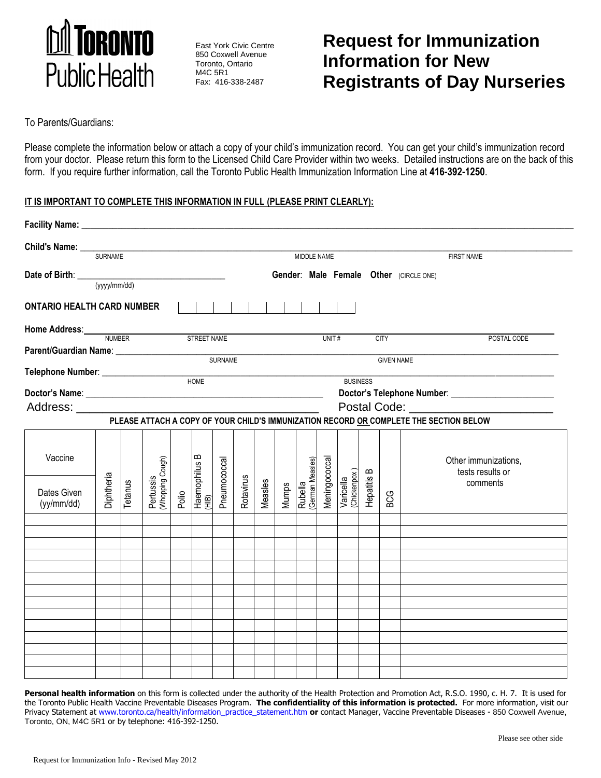

East York Civic Centre 850 Coxwell Avenue Toronto, Ontario M4C 5R1 Fax: 416-338-2487

# **Request for Immunization Information for New Registrants of Day Nurseries**

To Parents/Guardians:

Please complete the information below or attach a copy of your child's immunization record. You can get your child's immunization record from your doctor. Please return this form to the Licensed Child Care Provider within two weeks. Detailed instructions are on the back of this form. If you require further information, call the Toronto Public Health Immunization Information Line at **416-392-1250**.

### **IT IS IMPORTANT TO COMPLETE THIS INFORMATION IN FULL (PLEASE PRINT CLEARLY):**

| Facility Name: _______________    |                   |                                                                                                                                                                                                                                                                                                                                                                                                                                                                                                             |                               |  |                                            |                |           |         |       |                             |               |                           |             |                   |                                                                                        |  |  |
|-----------------------------------|-------------------|-------------------------------------------------------------------------------------------------------------------------------------------------------------------------------------------------------------------------------------------------------------------------------------------------------------------------------------------------------------------------------------------------------------------------------------------------------------------------------------------------------------|-------------------------------|--|--------------------------------------------|----------------|-----------|---------|-------|-----------------------------|---------------|---------------------------|-------------|-------------------|----------------------------------------------------------------------------------------|--|--|
| Child's Name: __                  | <b>SURNAME</b>    |                                                                                                                                                                                                                                                                                                                                                                                                                                                                                                             |                               |  |                                            |                |           |         |       | MIDDLE NAME                 |               |                           |             |                   | <b>FIRST NAME</b>                                                                      |  |  |
| Date of Birth: <u>(yyy/mm/dd)</u> |                   |                                                                                                                                                                                                                                                                                                                                                                                                                                                                                                             |                               |  |                                            |                |           |         |       |                             |               |                           |             |                   | Gender: Male Female Other (CIRCLE ONE)                                                 |  |  |
| <b>ONTARIO HEALTH CARD NUMBER</b> |                   |                                                                                                                                                                                                                                                                                                                                                                                                                                                                                                             |                               |  |                                            |                |           |         |       |                             |               |                           |             |                   |                                                                                        |  |  |
| Home Address: NUMBER              |                   |                                                                                                                                                                                                                                                                                                                                                                                                                                                                                                             | STREET NAME                   |  |                                            |                |           |         |       |                             | UNIT#         |                           |             | <b>CITY</b>       | POSTAL CODE                                                                            |  |  |
|                                   |                   |                                                                                                                                                                                                                                                                                                                                                                                                                                                                                                             |                               |  |                                            |                |           |         |       |                             |               |                           |             |                   |                                                                                        |  |  |
|                                   |                   |                                                                                                                                                                                                                                                                                                                                                                                                                                                                                                             |                               |  |                                            | <b>SURNAME</b> |           |         |       |                             |               |                           |             | <b>GIVEN NAME</b> |                                                                                        |  |  |
| Telephone Number: _____________   |                   |                                                                                                                                                                                                                                                                                                                                                                                                                                                                                                             |                               |  | HOME                                       |                |           |         |       |                             |               | <b>BUSINESS</b>           |             |                   |                                                                                        |  |  |
|                                   |                   |                                                                                                                                                                                                                                                                                                                                                                                                                                                                                                             |                               |  |                                            |                |           |         |       |                             |               |                           |             |                   |                                                                                        |  |  |
|                                   |                   | Postal Code: National Code: National Code: National Code: National Code: National Code: National Code: National Code: National Code: National Code: National Code: National Code: National Code: National Code: National Code:<br>Address: Analysis and the control of the control of the control of the control of the control of the control of the control of the control of the control of the control of the control of the control of the control of the c<br><u> 1990 - Johann Barbara, martin d</u> |                               |  |                                            |                |           |         |       |                             |               |                           |             |                   |                                                                                        |  |  |
|                                   |                   |                                                                                                                                                                                                                                                                                                                                                                                                                                                                                                             |                               |  |                                            |                |           |         |       |                             |               |                           |             |                   | PLEASE ATTACH A COPY OF YOUR CHILD'S IMMUNIZATION RECORD OR COMPLETE THE SECTION BELOW |  |  |
|                                   |                   |                                                                                                                                                                                                                                                                                                                                                                                                                                                                                                             |                               |  |                                            |                |           |         |       |                             |               |                           |             |                   |                                                                                        |  |  |
| Vaccine                           |                   |                                                                                                                                                                                                                                                                                                                                                                                                                                                                                                             |                               |  | $\mathbf{\Omega}$                          |                |           |         |       |                             |               |                           |             |                   | Other immunizations,<br>tests results or                                               |  |  |
| Dates Given<br>(yy/mm/dd)         | <b>Diphtheria</b> | Tetanus                                                                                                                                                                                                                                                                                                                                                                                                                                                                                                     | Pertussis<br>(Whopping Cough) |  | Polio<br>Haemophilus E<br><sub>(HIB)</sub> | Pneumococcal   | Rotavirus | Measles | Mumps | Rubella<br>(German Measles) | Meningococcal | Varicella<br>(Chickenpox) | Hepatitis B | <b>BCG</b>        | comments                                                                               |  |  |
|                                   |                   |                                                                                                                                                                                                                                                                                                                                                                                                                                                                                                             |                               |  |                                            |                |           |         |       |                             |               |                           |             |                   |                                                                                        |  |  |
|                                   |                   |                                                                                                                                                                                                                                                                                                                                                                                                                                                                                                             |                               |  |                                            |                |           |         |       |                             |               |                           |             |                   |                                                                                        |  |  |
|                                   |                   |                                                                                                                                                                                                                                                                                                                                                                                                                                                                                                             |                               |  |                                            |                |           |         |       |                             |               |                           |             |                   |                                                                                        |  |  |
|                                   |                   |                                                                                                                                                                                                                                                                                                                                                                                                                                                                                                             |                               |  |                                            |                |           |         |       |                             |               |                           |             |                   |                                                                                        |  |  |
|                                   |                   |                                                                                                                                                                                                                                                                                                                                                                                                                                                                                                             |                               |  |                                            |                |           |         |       |                             |               |                           |             |                   |                                                                                        |  |  |
|                                   |                   |                                                                                                                                                                                                                                                                                                                                                                                                                                                                                                             |                               |  |                                            |                |           |         |       |                             |               |                           |             |                   |                                                                                        |  |  |
|                                   |                   |                                                                                                                                                                                                                                                                                                                                                                                                                                                                                                             |                               |  |                                            |                |           |         |       |                             |               |                           |             |                   |                                                                                        |  |  |
|                                   |                   |                                                                                                                                                                                                                                                                                                                                                                                                                                                                                                             |                               |  |                                            |                |           |         |       |                             |               |                           |             |                   |                                                                                        |  |  |
|                                   |                   |                                                                                                                                                                                                                                                                                                                                                                                                                                                                                                             |                               |  |                                            |                |           |         |       |                             |               |                           |             |                   |                                                                                        |  |  |
|                                   |                   |                                                                                                                                                                                                                                                                                                                                                                                                                                                                                                             |                               |  |                                            |                |           |         |       |                             |               |                           |             |                   |                                                                                        |  |  |
|                                   |                   |                                                                                                                                                                                                                                                                                                                                                                                                                                                                                                             |                               |  |                                            |                |           |         |       |                             |               |                           |             |                   |                                                                                        |  |  |
|                                   |                   |                                                                                                                                                                                                                                                                                                                                                                                                                                                                                                             |                               |  |                                            |                |           |         |       |                             |               |                           |             |                   |                                                                                        |  |  |

Personal health information on this form is collected under the authority of the Health Protection and Promotion Act, R.S.O. 1990, c. H. 7. It is used for the Toronto Public Health Vaccine Preventable Diseases Program. **The confidentiality of this information is protected.** For more information, visit our Privacy Statement at [www.toronto.ca/health/information\\_practice\\_statement.htm](http://www.toronto.ca/health/information_practice_statement.htm) **or** contact Manager, Vaccine Preventable Diseases - 850 Coxwell Avenue, Toronto, ON, M4C 5R1 or by telephone: 416-392-1250.